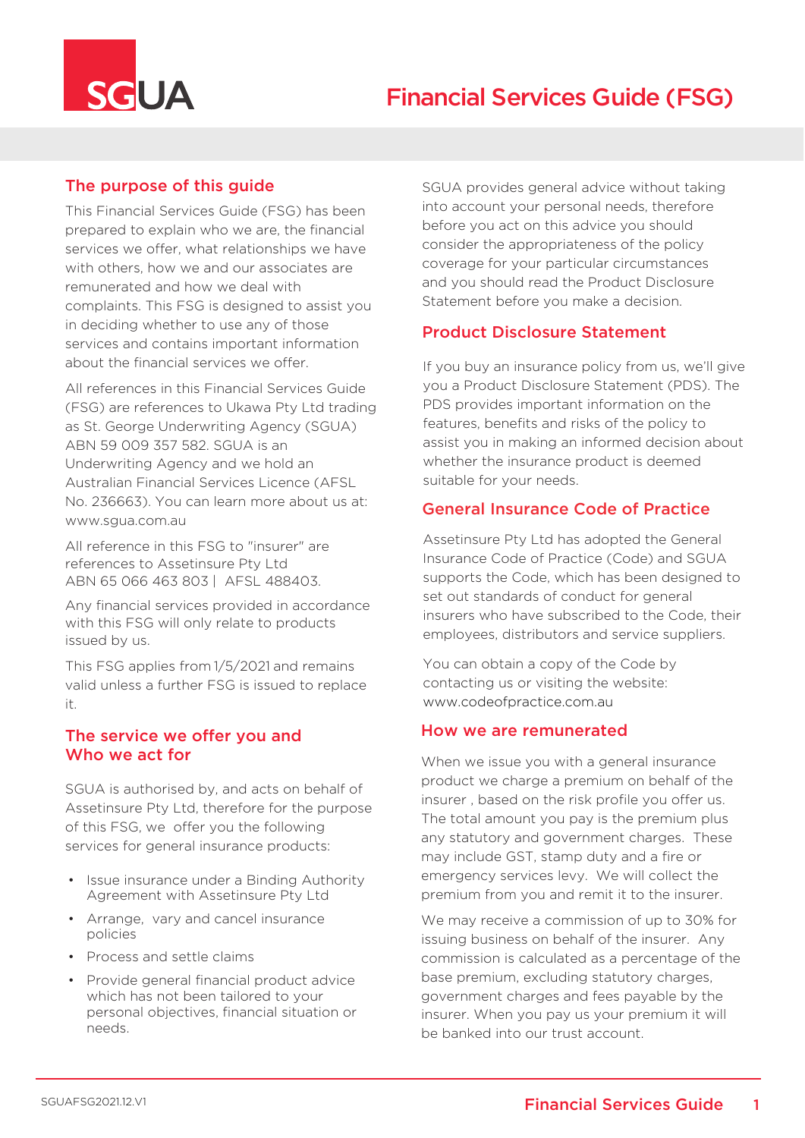

# The purpose of this guide

This Financial Services Guide (FSG) has been prepared to explain who we are, the financial services we offer, what relationships we have with others, how we and our associates are remunerated and how we deal with complaints. This FSG is designed to assist you in deciding whether to use any of those services and contains important information about the financial services we offer.

All references in this Financial Services Guide (FSG) are references to Ukawa Pty Ltd trading as St. George Underwriting Agency (SGUA) ABN 59 009 357 582. SGUA is an Underwriting Agency and we hold an Australian Financial Services Licence (AFSL No. 236663). You can learn more about us at: www.sgua.com.au

All reference in this FSG to "insurer" are references to Assetinsure Pty Ltd ABN 65 066 463 803 | AFSL 488403.

Any financial services provided in accordance with this FSG will only relate to products issued by us.

This FSG applies from 1/5/2021 and remains valid unless a further FSG is issued to replace it.

## The service we offer you and Who we act for

SGUA is authorised by, and acts on behalf of Assetinsure Pty Ltd, therefore for the purpose of this FSG, we offer you the following services for general insurance products:

- Issue insurance under a Binding Authority Agreement with Assetinsure Pty Ltd
- Arrange, vary and cancel insurance policies
- Process and settle claims
- Provide general financial product advice which has not been tailored to your personal objectives, financial situation or needs.

SGUA provides general advice without taking into account your personal needs, therefore before you act on this advice you should consider the appropriateness of the policy coverage for your particular circumstances and you should read the Product Disclosure Statement before you make a decision.

## Product Disclosure Statement

If you buy an insurance policy from us, we'll give you a Product Disclosure Statement (PDS). The PDS provides important information on the features, benefits and risks of the policy to assist you in making an informed decision about whether the insurance product is deemed suitable for your needs.

## General Insurance Code of Practice

Assetinsure Pty Ltd has adopted the General Insurance Code of Practice (Code) and SGUA supports the Code, which has been designed to set out standards of conduct for general insurers who have subscribed to the Code, their employees, distributors and service suppliers.

You can obtain a copy of the Code by contacting us or visiting the website: www.codeofpractice.com.au

### How we are remunerated

When we issue you with a general insurance product we charge a premium on behalf of the insurer , based on the risk profile you offer us. The total amount you pay is the premium plus any statutory and government charges. These may include GST, stamp duty and a fire or emergency services levy. We will collect the premium from you and remit it to the insurer.

We may receive a commission of up to 30% for issuing business on behalf of the insurer. Any commission is calculated as a percentage of the base premium, excluding statutory charges, government charges and fees payable by the insurer. When you pay us your premium it will be banked into our trust account.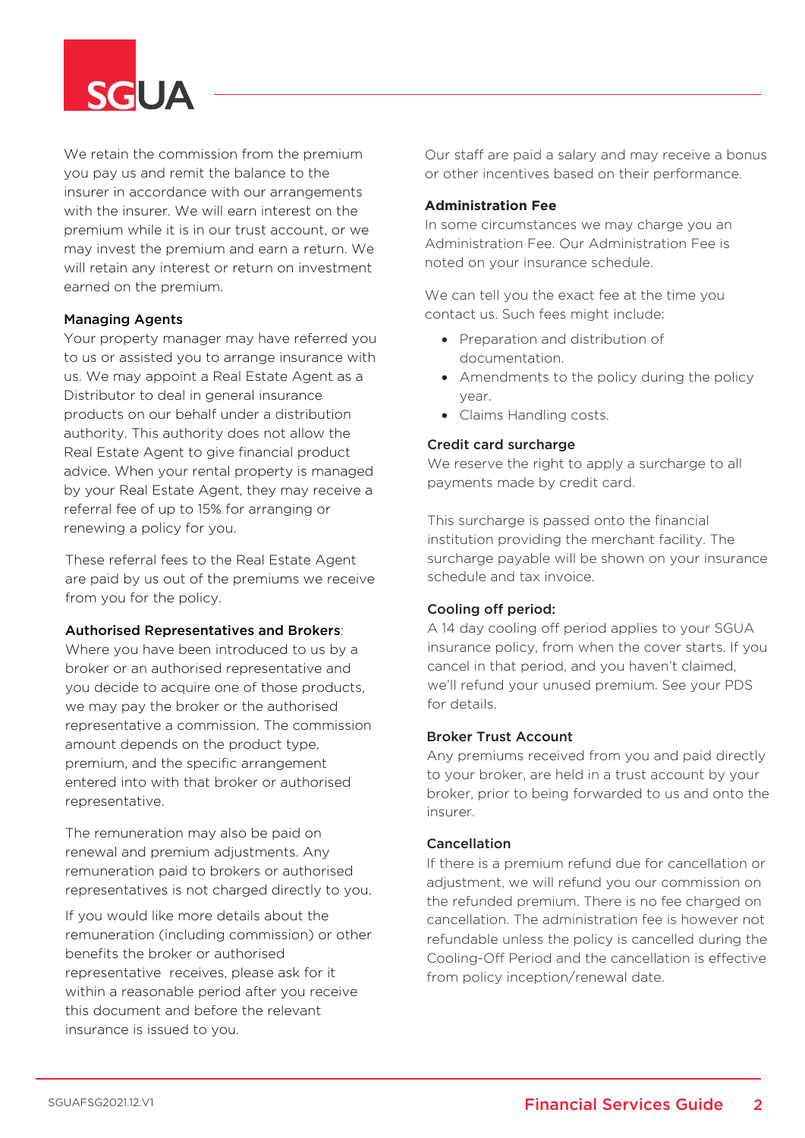

We retain the commission from the premium you pay us and remit the balance to the insurer in accordance with our arrangements with the insurer. We will earn interest on the premium while it is in our trust account, or we may invest the premium and earn a return. We will retain any interest or return on investment earned on the premium.

#### Managing Agents

Your property manager may have referred you to us or assisted you to arrange insurance with us. We may appoint a Real Estate Agent as a Distributor to deal in general insurance products on our behalf under a distribution authority. This authority does not allow the Real Estate Agent to give financial product advice. When your rental property is managed by your Real Estate Agent, they may receive a referral fee of up to 15% for arranging or renewing a policy for you.

These referral fees to the Real Estate Agent are paid by us out of the premiums we receive from you for the policy.

#### Authorised Representatives and Brokers:

Where you have been introduced to us by a broker or an authorised representative and you decide to acquire one of those products, we may pay the broker or the authorised representative a commission. The commission amount depends on the product type, premium, and the specific arrangement entered into with that broker or authorised representative.

The remuneration may also be paid on renewal and premium adjustments. Any remuneration paid to brokers or authorised representatives is not charged directly to you.

If you would like more details about the remuneration (including commission) or other benefits the broker or authorised representative receives, please ask for it within a reasonable period after you receive this document and before the relevant insurance is issued to you.

Our staff are paid a salary and may receive a bonus or other incentives based on their performance.

#### **Administration Fee**

In some circumstances we may charge you an Administration Fee. Our Administration Fee is noted on your insurance schedule.

We can tell you the exact fee at the time you contact us. Such fees might include:

- Preparation and distribution of documentation.
- Amendments to the policy during the policy year.
- Claims Handling costs.

#### Credit card surcharge

We reserve the right to apply a surcharge to all payments made by credit card.

This surcharge is passed onto the financial institution providing the merchant facility. The surcharge payable will be shown on your insurance schedule and tax invoice.

#### Cooling off period:

A 14 day cooling off period applies to your SGUA insurance policy, from when the cover starts. If you cancel in that period, and you haven't claimed, we'll refund your unused premium. See your PDS for details.

#### Broker Trust Account

Any premiums received from you and paid directly to your broker, are held in a trust account by your broker, prior to being forwarded to us and onto the insurer.

#### Cancellation

If there is a premium refund due for cancellation or adjustment, we will refund you our commission on the refunded premium. There is no fee charged on cancellation. The administration fee is however not refundable unless the policy is cancelled during the Cooling-Off Period and the cancellation is effective from policy inception/renewal date.